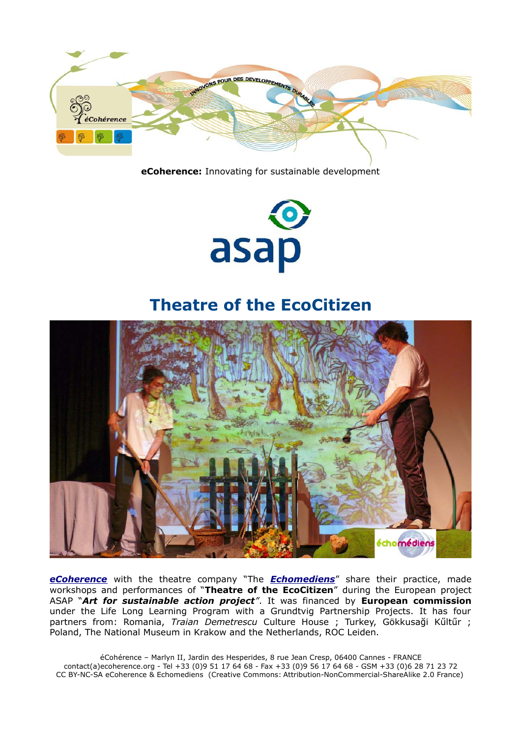

**eCoherence:** Innovating for sustainable development



## **Theatre of the EcoCitizen**



*[eCoherence](http://ecoherence.org/)* with the theatre company "The *[Echomediens](http://echomediens.org/)*" share their practice, made workshops and performances of "**Theatre of the EcoCitizen**" during the European project ASAP "*Art for sustainable action project"*. It was financed by **European commission** under the Life Long Learning Program with a Grundtvig Partnership Projects. It has four partners from: Romania, *Traian Demetrescu* Culture House ; Turkey, Gökkusaği Kűltűr ; Poland, The National Museum in Krakow and the Netherlands, ROC Leiden.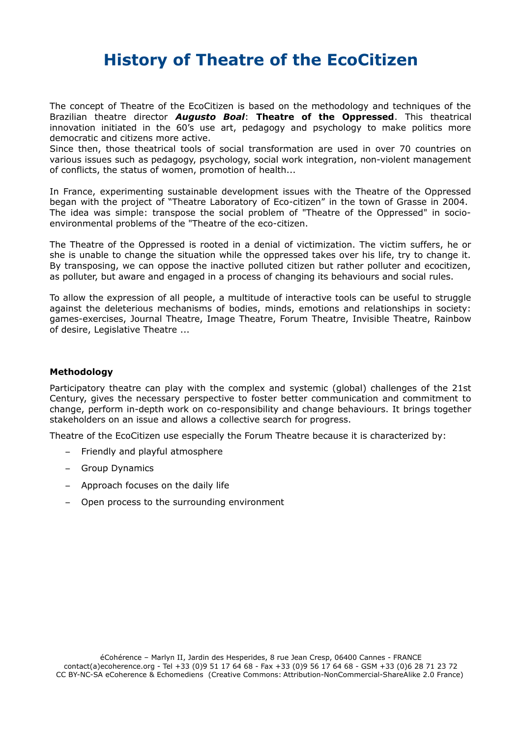# **History of Theatre of the EcoCitizen**

The concept of Theatre of the EcoCitizen is based on the methodology and techniques of the Brazilian theatre director *Augusto Boal*: **Theatre of the Oppressed**. This theatrical innovation initiated in the 60's use art, pedagogy and psychology to make politics more democratic and citizens more active.

Since then, those theatrical tools of social transformation are used in over 70 countries on various issues such as pedagogy, psychology, social work integration, non-violent management of conflicts, the status of women, promotion of health...

In France, experimenting sustainable development issues with the Theatre of the Oppressed began with the project of "Theatre Laboratory of Eco-citizen" in the town of Grasse in 2004. The idea was simple: transpose the social problem of "Theatre of the Oppressed" in socioenvironmental problems of the "Theatre of the eco-citizen.

The Theatre of the Oppressed is rooted in a denial of victimization. The victim suffers, he or she is unable to change the situation while the oppressed takes over his life, try to change it. By transposing, we can oppose the inactive polluted citizen but rather polluter and ecocitizen, as polluter, but aware and engaged in a process of changing its behaviours and social rules.

To allow the expression of all people, a multitude of interactive tools can be useful to struggle against the deleterious mechanisms of bodies, minds, emotions and relationships in society: games-exercises, Journal Theatre, Image Theatre, Forum Theatre, Invisible Theatre, Rainbow of desire, Legislative Theatre ...

### **Methodology**

Participatory theatre can play with the complex and systemic (global) challenges of the 21st Century, gives the necessary perspective to foster better communication and commitment to change, perform in-depth work on co-responsibility and change behaviours. It brings together stakeholders on an issue and allows a collective search for progress.

Theatre of the EcoCitizen use especially the Forum Theatre because it is characterized by:

- Friendly and playful atmosphere
- Group Dynamics
- Approach focuses on the daily life
- Open process to the surrounding environment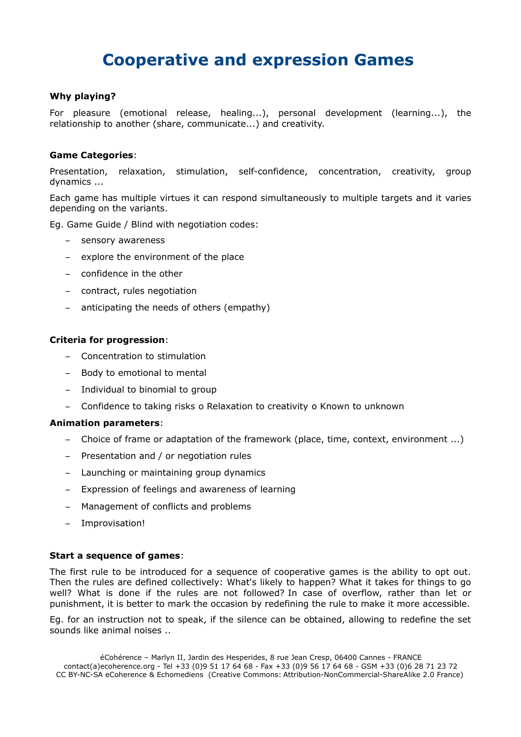# **Cooperative and expression Games**

## **Why playing?**

For pleasure (emotional release, healing...), personal development (learning...), the relationship to another (share, communicate...) and creativity.

#### **Game Categories**:

Presentation, relaxation, stimulation, self-confidence, concentration, creativity, group dynamics ...

Each game has multiple virtues it can respond simultaneously to multiple targets and it varies depending on the variants.

Eg. Game Guide / Blind with negotiation codes:

- sensory awareness
- explore the environment of the place
- confidence in the other
- contract, rules negotiation
- anticipating the needs of others (empathy)

#### **Criteria for progression**:

- Concentration to stimulation
- Body to emotional to mental
- Individual to binomial to group
- Confidence to taking risks o Relaxation to creativity o Known to unknown

#### **Animation parameters**:

- Choice of frame or adaptation of the framework (place, time, context, environment ...)
- Presentation and / or negotiation rules
- Launching or maintaining group dynamics
- Expression of feelings and awareness of learning
- Management of conflicts and problems
- Improvisation!

#### **Start a sequence of games**:

The first rule to be introduced for a sequence of cooperative games is the ability to opt out. Then the rules are defined collectively: What's likely to happen? What it takes for things to go well? What is done if the rules are not followed? In case of overflow, rather than let or punishment, it is better to mark the occasion by redefining the rule to make it more accessible.

Eg. for an instruction not to speak, if the silence can be obtained, allowing to redefine the set sounds like animal noises ..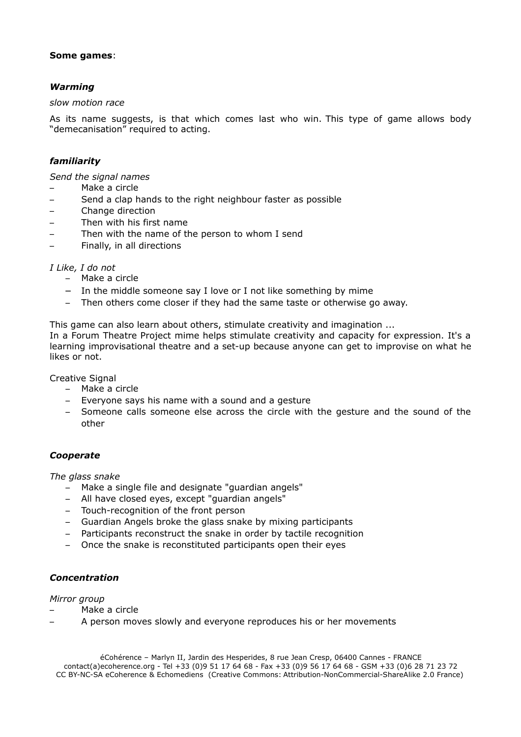### **Some games**:

## *Warming*

#### *slow motion race*

As its name suggests, is that which comes last who win. This type of game allows body "demecanisation" required to acting.

## *familiarity*

*Send the signal names*

- Make a circle
- Send a clap hands to the right neighbour faster as possible
- Change direction
- Then with his first name
- Then with the name of the person to whom I send
- Finally, in all directions

### *I Like, I do not*

- Make a circle
- In the middle someone say I love or I not like something by mime
- Then others come closer if they had the same taste or otherwise go away.

This game can also learn about others, stimulate creativity and imagination ...

In a Forum Theatre Project mime helps stimulate creativity and capacity for expression. It's a learning improvisational theatre and a set-up because anyone can get to improvise on what he likes or not.

Creative Signal

- Make a circle
- Everyone says his name with a sound and a gesture
- Someone calls someone else across the circle with the gesture and the sound of the other

## *Cooperate*

*The glass snake*

- Make a single file and designate "guardian angels"
- All have closed eyes, except "guardian angels"
- Touch-recognition of the front person
- Guardian Angels broke the glass snake by mixing participants
- Participants reconstruct the snake in order by tactile recognition
- Once the snake is reconstituted participants open their eyes

## *Concentration*

*Mirror group*

- Make a circle
- A person moves slowly and everyone reproduces his or her movements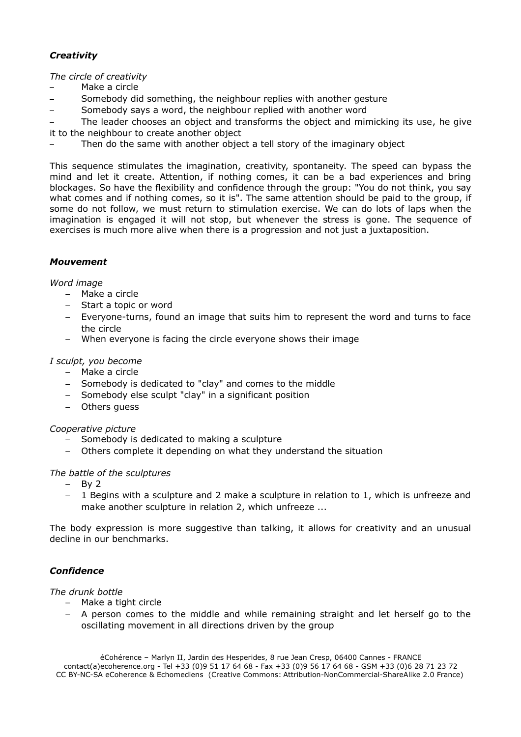## *Creativity*

*The circle of creativity*

- Make a circle
- Somebody did something, the neighbour replies with another gesture
- Somebody says a word, the neighbour replied with another word

– The leader chooses an object and transforms the object and mimicking its use, he give it to the neighbour to create another object

Then do the same with another object a tell story of the imaginary object

This sequence stimulates the imagination, creativity, spontaneity. The speed can bypass the mind and let it create. Attention, if nothing comes, it can be a bad experiences and bring blockages. So have the flexibility and confidence through the group: "You do not think, you say what comes and if nothing comes, so it is". The same attention should be paid to the group, if some do not follow, we must return to stimulation exercise. We can do lots of laps when the imagination is engaged it will not stop, but whenever the stress is gone. The sequence of exercises is much more alive when there is a progression and not just a juxtaposition.

### *Mouvement*

*Word image*

- Make a circle
- Start a topic or word
- Everyone-turns, found an image that suits him to represent the word and turns to face the circle
- When everyone is facing the circle everyone shows their image

#### *I sculpt, you become*

- Make a circle
- Somebody is dedicated to "clay" and comes to the middle
- Somebody else sculpt "clay" in a significant position
- Others guess

*Cooperative picture*

- Somebody is dedicated to making a sculpture
- Others complete it depending on what they understand the situation

#### *The battle of the sculptures*

- By 2
- 1 Begins with a sculpture and 2 make a sculpture in relation to 1, which is unfreeze and make another sculpture in relation 2, which unfreeze ...

The body expression is more suggestive than talking, it allows for creativity and an unusual decline in our benchmarks.

## *Confidence*

*The drunk bottle*

- Make a tight circle
- A person comes to the middle and while remaining straight and let herself go to the oscillating movement in all directions driven by the group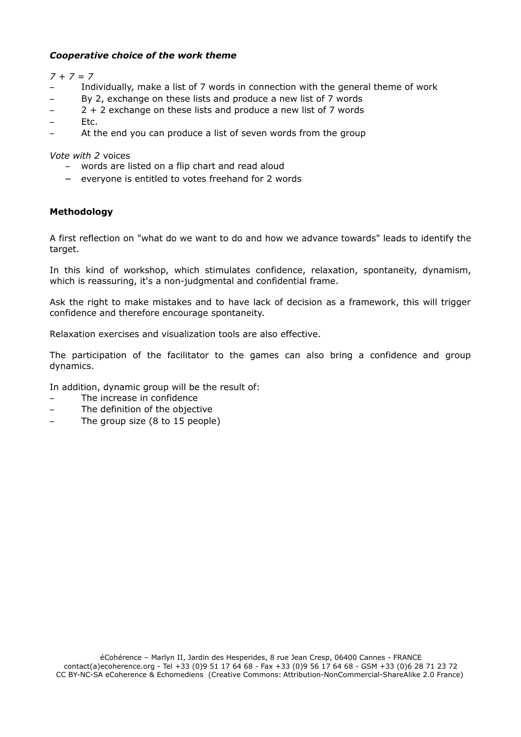## *Cooperative choice of the work theme*

*7 + 7 = 7*

- Individually, make a list of 7 words in connection with the general theme of work
- By 2, exchange on these lists and produce a new list of 7 words
- $-2 + 2$  exchange on these lists and produce a new list of 7 words
- Etc.
- At the end you can produce a list of seven words from the group

*Vote with 2* voices

- words are listed on a flip chart and read aloud
- everyone is entitled to votes freehand for 2 words

## **Methodology**

A first reflection on "what do we want to do and how we advance towards" leads to identify the target.

In this kind of workshop, which stimulates confidence, relaxation, spontaneity, dynamism, which is reassuring, it's a non-judgmental and confidential frame.

Ask the right to make mistakes and to have lack of decision as a framework, this will trigger confidence and therefore encourage spontaneity.

Relaxation exercises and visualization tools are also effective.

The participation of the facilitator to the games can also bring a confidence and group dynamics.

In addition, dynamic group will be the result of:

- The increase in confidence
- The definition of the objective
- The group size (8 to 15 people)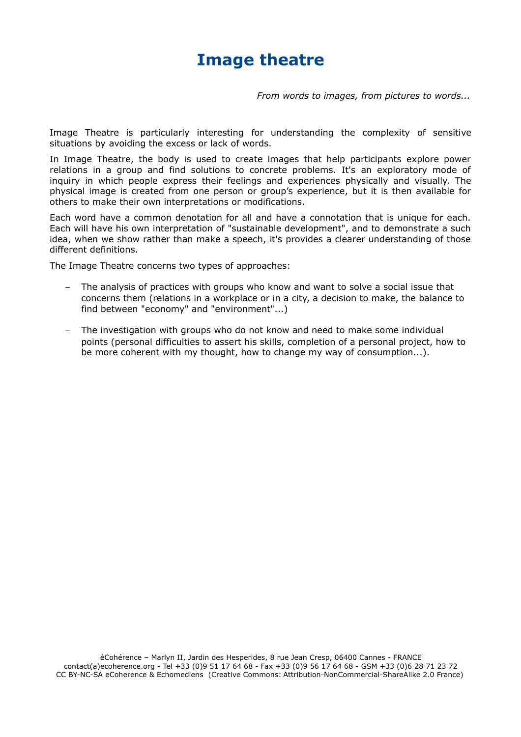## **Image theatre**

*From words to images, from pictures to words...*

Image Theatre is particularly interesting for understanding the complexity of sensitive situations by avoiding the excess or lack of words.

In Image Theatre, the body is used to create images that help participants explore power relations in a group and find solutions to concrete problems. It's an exploratory mode of inquiry in which people express their feelings and experiences physically and visually. The physical image is created from one person or group's experience, but it is then available for others to make their own interpretations or modifications.

Each word have a common denotation for all and have a connotation that is unique for each. Each will have his own interpretation of "sustainable development", and to demonstrate a such idea, when we show rather than make a speech, it's provides a clearer understanding of those different definitions.

The Image Theatre concerns two types of approaches:

- The analysis of practices with groups who know and want to solve a social issue that concerns them (relations in a workplace or in a city, a decision to make, the balance to find between "economy" and "environment"...)
- The investigation with groups who do not know and need to make some individual points (personal difficulties to assert his skills, completion of a personal project, how to be more coherent with my thought, how to change my way of consumption...).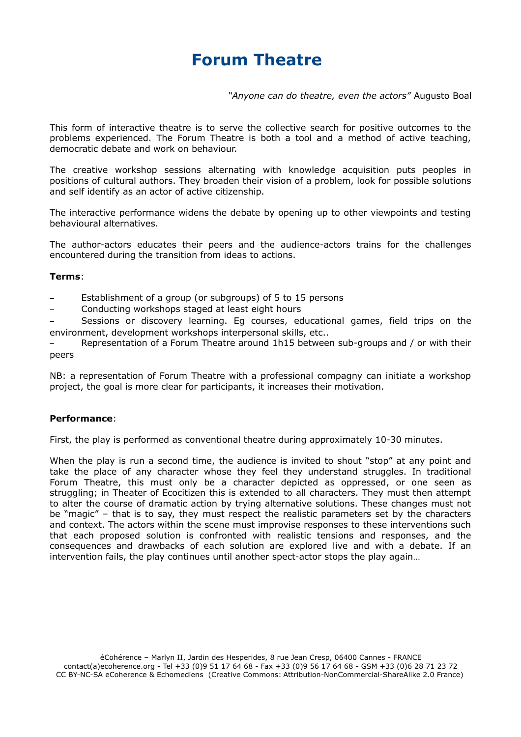# **Forum Theatre**

*"Anyone can do theatre, even the actors"* Augusto Boal

This form of interactive theatre is to serve the collective search for positive outcomes to the problems experienced. The Forum Theatre is both a tool and a method of active teaching, democratic debate and work on behaviour.

The creative workshop sessions alternating with knowledge acquisition puts peoples in positions of cultural authors. They broaden their vision of a problem, look for possible solutions and self identify as an actor of active citizenship.

The interactive performance widens the debate by opening up to other viewpoints and testing behavioural alternatives.

The author-actors educates their peers and the audience-actors trains for the challenges encountered during the transition from ideas to actions.

#### **Terms**:

- Establishment of a group (or subgroups) of 5 to 15 persons
- Conducting workshops staged at least eight hours

– Sessions or discovery learning. Eg courses, educational games, field trips on the environment, development workshops interpersonal skills, etc..

– Representation of a Forum Theatre around 1h15 between sub-groups and / or with their peers

NB: a representation of Forum Theatre with a professional compagny can initiate a workshop project, the goal is more clear for participants, it increases their motivation.

#### **Performance**:

First, the play is performed as conventional theatre during approximately 10-30 minutes.

When the play is run a second time, the audience is invited to shout "stop" at any point and take the place of any character whose they feel they understand struggles. In traditional Forum Theatre, this must only be a character depicted as oppressed, or one seen as struggling; in Theater of Ecocitizen this is extended to all characters. They must then attempt to alter the course of dramatic action by trying alternative solutions. These changes must not be "magic" – that is to say, they must respect the realistic parameters set by the characters and context. The actors within the scene must improvise responses to these interventions such that each proposed solution is confronted with realistic tensions and responses, and the consequences and drawbacks of each solution are explored live and with a debate. If an intervention fails, the play continues until another spect-actor stops the play again…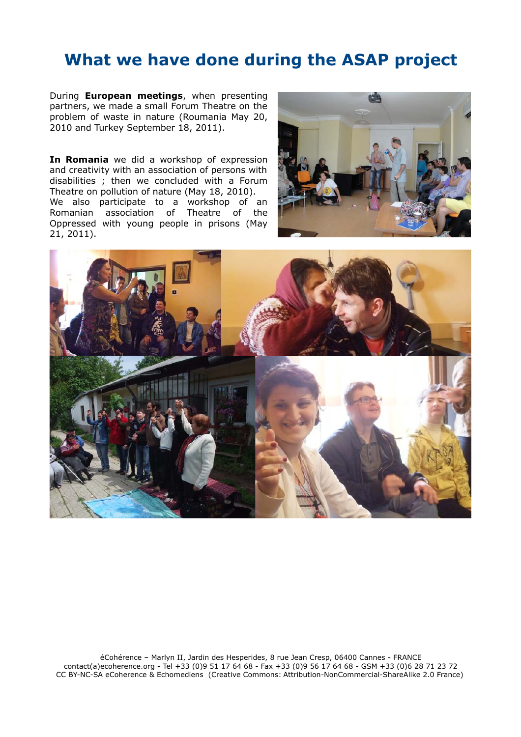## **What we have done during the ASAP project**

During **European meetings**, when presenting partners, we made a small Forum Theatre on the problem of waste in nature (Roumania May 20, 2010 and Turkey September 18, 2011).

**In Romania** we did a workshop of expression and creativity with an association of persons with disabilities ; then we concluded with a Forum Theatre on pollution of nature (May 18, 2010). We also participate to a workshop of an Romanian association of Theatre of the Oppressed with young people in prisons (May 21, 2011).



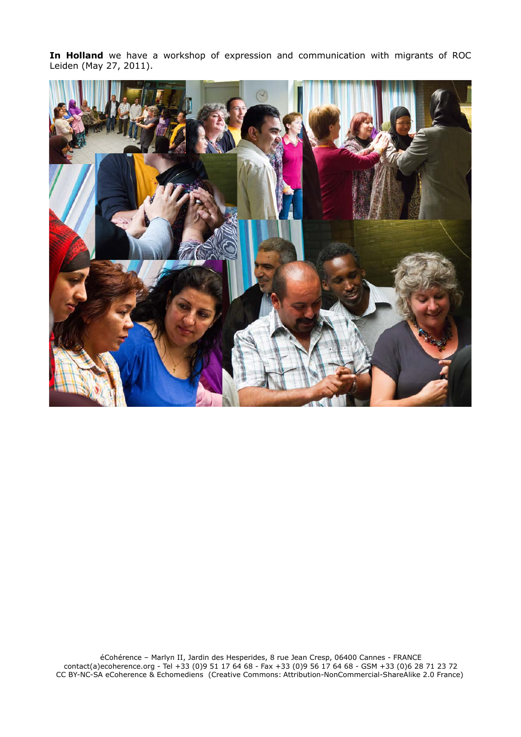**In Holland** we have a workshop of expression and communication with migrants of ROC Leiden (May 27, 2011).